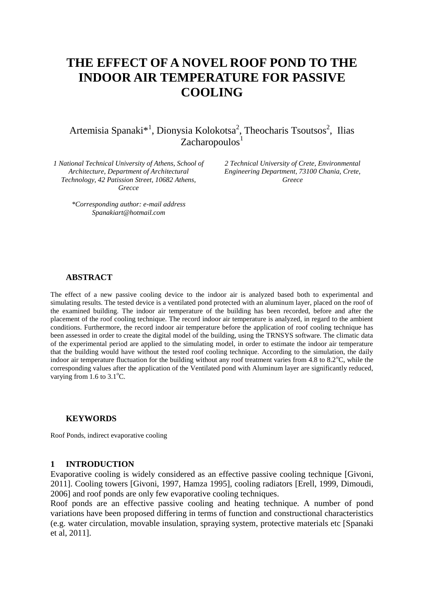# **THE EFFECT OF A NOVEL ROOF POND TO THE INDOOR AIR TEMPERATURE FOR PASSIVE COOLING**

Artemisia Spanaki<sup>\*1</sup>, Dionysia Kolokotsa<sup>2</sup>, Theocharis Tsoutsos<sup>2</sup>, Ilias  $Zacharopoulos<sup>1</sup>$ 

*1 National Technical University of Athens, School of Architecture, Department of Architectural Technology, 42 Patission Street, 10682 Athens, Grecce*

> *\*Corresponding author: e-mail address Spanakiart@hotmail.com*

*2 Technical University of Crete, Environmental Engineering Department, 73100 Chania, Crete, Greece* 

#### **ABSTRACT**

The effect of a new passive cooling device to the indoor air is analyzed based both to experimental and simulating results. The tested device is a ventilated pond protected with an aluminum layer, placed on the roof of the examined building. The indoor air temperature of the building has been recorded, before and after the placement of the roof cooling technique. The record indoor air temperature is analyzed, in regard to the ambient conditions. Furthermore, the record indoor air temperature before the application of roof cooling technique has been assessed in order to create the digital model of the building, using the TRNSYS software. The climatic data of the experimental period are applied to the simulating model, in order to estimate the indoor air temperature that the building would have without the tested roof cooling technique. According to the simulation, the daily indoor air temperature fluctuation for the building without any roof treatment varies from 4.8 to  $8.2^{\circ}$ C, while the corresponding values after the application of the Ventilated pond with Aluminum layer are significantly reduced, varying from  $1.6$  to  $3.1^{\circ}$ C.

#### **KEYWORDS**

Roof Ponds, indirect evaporative cooling

#### **1 INTRODUCTION**

Evaporative cooling is widely considered as an effective passive cooling technique [Givoni, 2011]. Cooling towers [Givoni, 1997, Hamza 1995], cooling radiators [Erell, 1999, Dimoudi, 2006] and roof ponds are only few evaporative cooling techniques.

Roof ponds are an effective passive cooling and heating technique. A number of pond variations have been proposed differing in terms of function and constructional characteristics (e.g. water circulation, movable insulation, spraying system, protective materials etc [Spanaki et al, 2011].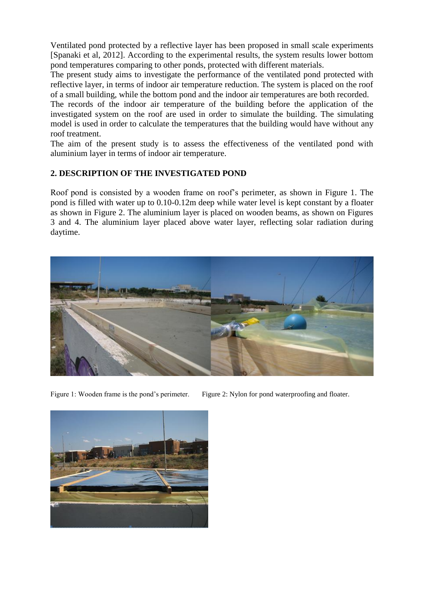Ventilated pond protected by a reflective layer has been proposed in small scale experiments [Spanaki et al, 2012]. According to the experimental results, the system results lower bottom pond temperatures comparing to other ponds, protected with different materials.

The present study aims to investigate the performance of the ventilated pond protected with reflective layer, in terms of indoor air temperature reduction. The system is placed on the roof of a small building, while the bottom pond and the indoor air temperatures are both recorded.

The records of the indoor air temperature of the building before the application of the investigated system on the roof are used in order to simulate the building. The simulating model is used in order to calculate the temperatures that the building would have without any roof treatment.

The aim of the present study is to assess the effectiveness of the ventilated pond with aluminium layer in terms of indoor air temperature.

# **2. DESCRIPTION OF THE INVESTIGATED POND**

Roof pond is consisted by a wooden frame on roof's perimeter, as shown in Figure 1. The pond is filled with water up to 0.10-0.12m deep while water level is kept constant by a floater as shown in Figure 2. The aluminium layer is placed on wooden beams, as shown on Figures 3 and 4. The aluminium layer placed above water layer, reflecting solar radiation during daytime.



Figure 1: Wooden frame is the pond's perimeter. Figure 2: Nylon for pond waterproofing and floater.

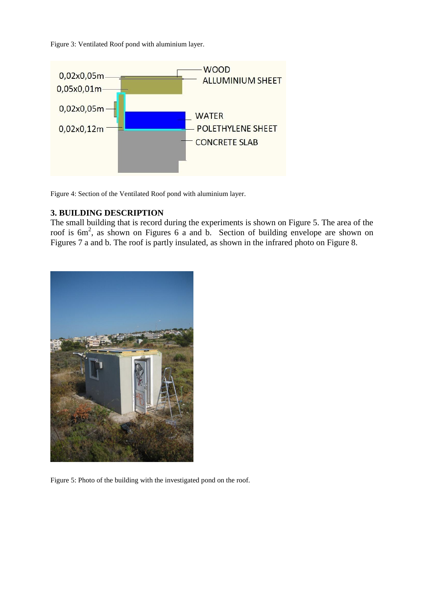Figure 3: Ventilated Roof pond with aluminium layer.



Figure 4: Section of the Ventilated Roof pond with aluminium layer.

## **3. BUILDING DESCRIPTION**

The small building that is record during the experiments is shown on Figure 5. The area of the roof is  $6m^2$ , as shown on Figures 6 a and b. Section of building envelope are shown on Figures 7 a and b. The roof is partly insulated, as shown in the infrared photo on Figure 8.



Figure 5: Photo of the building with the investigated pond on the roof.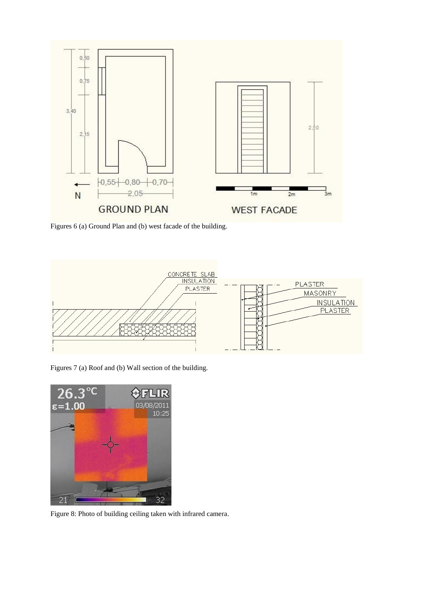

Figures 6 (a) Ground Plan and (b) west facade of the building.



Figures 7 (a) Roof and (b) Wall section of the building.



Figure 8: Photo of building ceiling taken with infrared camera.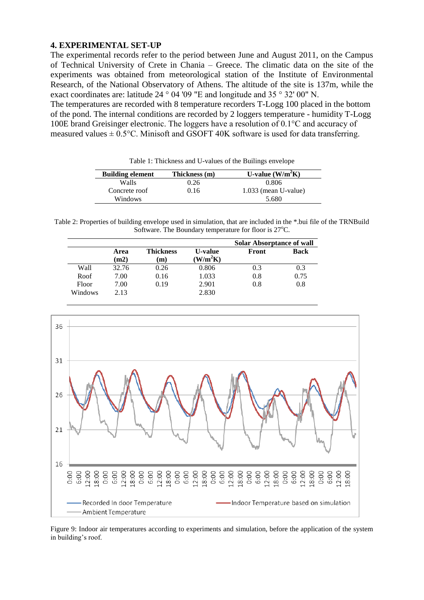## **4. EXPERIMENTAL SET-UP**

The experimental records refer to the period between June and August 2011, on the Campus of Technical University of Crete in Chania – Greece. The climatic data on the site of the experiments was obtained from meteorological station of the Institute of Environmental Research, of the National Observatory of Athens. The altitude of the site is 137m, while the exact coordinates are: latitude 24 ° 04 '09 "E and longitude and 35 ° 32' 00" N.

The temperatures are recorded with 8 temperature recorders T-Logg 100 placed in the bottom of the pond. The internal conditions are recorded by 2 loggers temperature - humidity T-Logg 100E brand Greisinger electronic. The loggers have a resolution of 0.1°C and accuracy of measured values  $\pm$  0.5°C. Minisoft and GSOFT 40K software is used for data transferring.

| <b>Building element</b> | Thickness (m) | U-value $(W/m^2K)$     |
|-------------------------|---------------|------------------------|
| Walls                   | 0.26          | 0.806                  |
| Concrete roof           | 0.16          | $1.033$ (mean U-value) |
| Windows                 |               | 5.680                  |

Table 1: Thickness and U-values of the Builings envelope

Table 2: Properties of building envelope used in simulation, that are included in the \*.bui file of the TRNBuild Software. The Boundary temperature for floor is  $27^{\circ}$ C.

|         |              |                  |                                        | <b>Solar Absorptance of wall</b> |             |
|---------|--------------|------------------|----------------------------------------|----------------------------------|-------------|
|         | Area<br>(m2) | Thickness<br>(m) | <b>U-value</b><br>(W/m <sup>2</sup> K) | Front                            | <b>Back</b> |
| Wall    | 32.76        | 0.26             | 0.806                                  | 0.3                              | 0.3         |
| Roof    | 7.00         | 0.16             | 1.033                                  | 0.8                              | 0.75        |
| Floor   | 7.00         | 0.19             | 2.901                                  | 0.8                              | 0.8         |
| Windows | 2.13         |                  | 2.830                                  |                                  |             |



Figure 9: Indoor air temperatures according to experiments and simulation, before the application of the system in building's roof.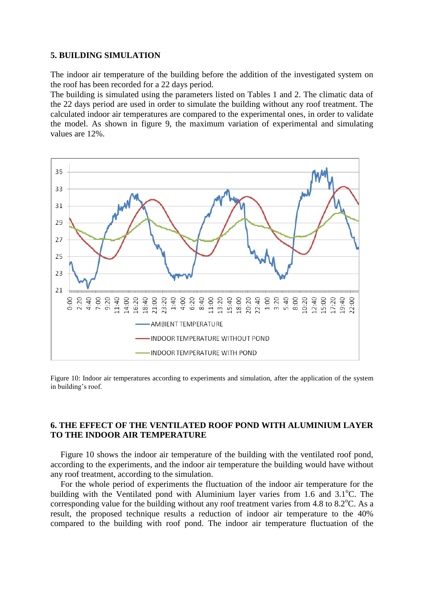#### **5. BUILDING SIMULATION**

The indoor air temperature of the building before the addition of the investigated system on the roof has been recorded for a 22 days period.

The building is simulated using the parameters listed on Tables 1 and 2. The climatic data of the 22 days period are used in order to simulate the building without any roof treatment. The calculated indoor air temperatures are compared to the experimental ones, in order to validate the model. As shown in figure 9, the maximum variation of experimental and simulating values are 12%.



Figure 10: Indoor air temperatures according to experiments and simulation, after the application of the system in building's roof.

# **6. THE EFFECT OF THE VENTILATED ROOF POND WITH ALUMINIUM LAYER TO THE INDOOR AIR TEMPERATURE**

Figure 10 shows the indoor air temperature of the building with the ventilated roof pond, according to the experiments, and the indoor air temperature the building would have without any roof treatment, according to the simulation.

For the whole period of experiments the fluctuation of the indoor air temperature for the building with the Ventilated pond with Aluminium layer varies from 1.6 and  $3.1^{\circ}$ C. The corresponding value for the building without any roof treatment varies from 4.8 to  $8.2^{\circ}$ C. As a result, the proposed technique results a reduction of indoor air temperature to the 40% compared to the building with roof pond. The indoor air temperature fluctuation of the